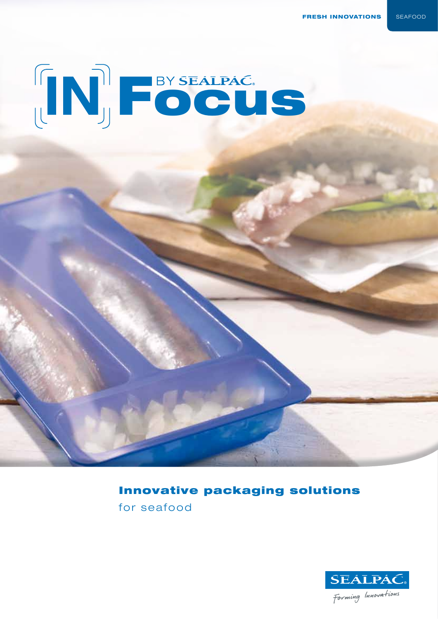**FRESH INNOVATIONS** SEAFOOD



### **Innovative packaging solutions**

for seafood

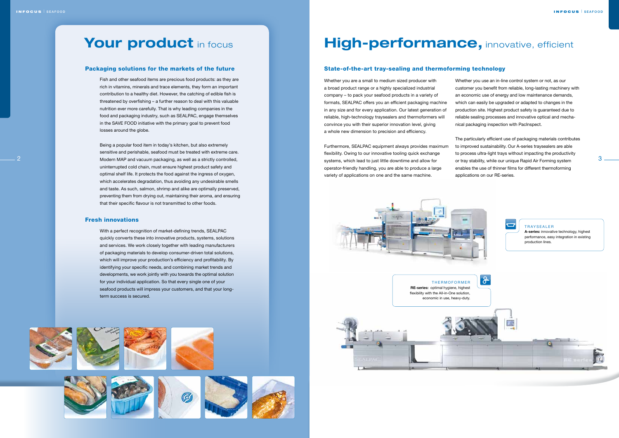# Your product in focus

### Packaging solutions for the markets of the future

Fish and other seafood items are precious food products: as they are rich in vitamins, minerals and trace elements, they form an important contribution to a healthy diet. However, the catching of edible fish is threatened by overfishing – a further reason to deal with this valuable nutrition ever more carefully. That is why leading companies in the food and packaging industry, such as SEALPAC, engage themselves in the SAVE FOOD initiative with the primary goal to prevent food losses around the globe.

2 3 Modern MAP and vacuum packaging, as well as a strictly controlled, Being a popular food item in today's kitchen, but also extremely sensitive and perishable, seafood must be treated with extreme care. uninterrupted cold chain, must ensure highest product safety and optimal shelf life. It protects the food against the ingress of oxygen, which accelerates degradation, thus avoiding any undesirable smells and taste. As such, salmon, shrimp and alike are optimally preserved, preventing them from drying out, maintaining their aroma, and ensuring that their specific flavour is not transmitted to other foods.

### Fresh innovations

With a perfect recognition of market-defining trends, SEALPAC quickly converts these into innovative products, systems, solutions and services. We work closely together with leading manufacturers of packaging materials to develop consumer-driven total solutions, which will improve your production's efficiency and profitability. By identifying your specific needs, and combining market trends and developments, we work jointly with you towards the optimal solution for your individual application. So that every single one of your seafood products will impress your customers, and that your longterm success is secured.





# **High-performance, innovative, efficient**

### State-of-the-art tray-sealing and thermoforming technology





Whether you are a small to medium sized producer with a broad product range or a highly specialized industrial company – to pack your seafood products in a variety of formats, SEALPAC offers you an efficient packaging machine in any size and for every application. Our latest generation of reliable, high-technology traysealers and thermoformers will convince you with their superior innovation level, giving a whole new dimension to precision and efficiency.

Furthermore, SEALPAC equipment always provides maximum flexibility. Owing to our innovative tooling quick exchange systems, which lead to just little downtime and allow for operator-friendly handling, you are able to produce a large variety of applications on one and the same machine.

Whether you use an in-line control system or not, as our customer you benefit from reliable, long-lasting machinery with an economic use of energy and low maintenance demands, which can easily be upgraded or adapted to changes in the production site. Highest product safety is guaranteed due to reliable sealing processes and innovative optical and mechanical packaging inspection with PacInspect.

The particularly efficient use of packaging materials contributes to improved sustainability. Our A-series traysealers are able to process ultra-light trays without impacting the productivity or tray stability, while our unique Rapid Air Forming system enables the use of thinner films for different thermoforming applications on our RE-series.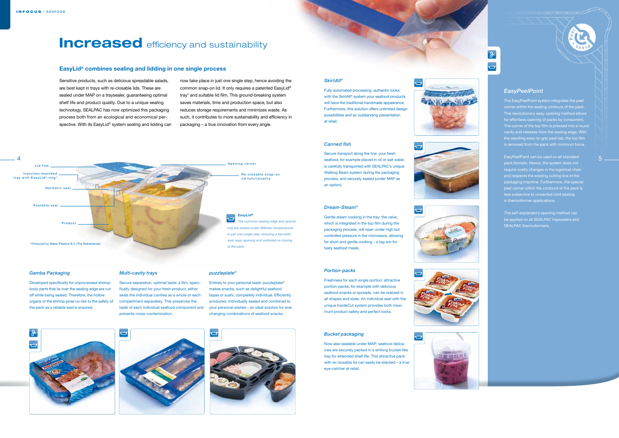Sensitive products, such as delicious spreadable salads, are best kept in trays with re-closable lids. These are sealed under MAP on a traysealer, guaranteeing optimal shelf life and product quality. Due to a unique sealing technology, SEALPAC has now optimized this packaging process both from an ecological and economical perspective. With its EasyLid® system sealing and lidding can now take place in just one single step, hence avoiding the common snap-on lid. It only requires a patented EasyLid® tray\* and suitable lid film. This ground-breaking system saves materials, time and production space, but also reduces storage requirements and minimizes waste. As such, it contributes to more sustainability and efficiency in packaging – a true innovation from every angle.

### **EasyLid® combines sealing and lidding in one single process**

## **Increased** efficiency and sustainability

### *Multi-cavity trays*

Secure separation, optimal taste: a film, specifically designed for your fresh product, either seals the individual cavities as a whole or each compartment separately. This preserves the taste of each individual seafood component and your personal wishes – an ideal solution for ever prevents cross-contamination.

### *puzzleplate®*

Entirely to your personal taste: puzzleplate® makes snacks, such as delightful seafood tapas or sushi, completely individual. Efficiently produced, individually sealed and combined to changing combinations of seafood snacks.







### *Gamba Packaging*

Developed specifically for unprocessed shrimp: body parts that lie over the sealing edge are cut off while being sealed. Therefore, the hollow organs of the shrimp pose no risk to the safety of the pack as a reliable seal is ensured.

### *Portion-packs*



Freshness for each single portion: attractive portion-packs, for example with delicious seafood snacks or spreads, can be realized in all shapes and sizes. An individual seal with the unique InsideCut system provides both maximum product safety and perfect looks.

### *Bucket packaging*

Now also sealable under MAP: seafood delicacies are securely packed in a striking bucket-like tray for extended shelf life. This attractive pack with re-closable lid can easily be stacked – a true eye-catcher at retail.





# $\overline{\mathbf{u}}$













### *Canned fish*

Secure transport along the line: your fresh is carefully transported with SEALPAC's unique Walking Beam system during the packaging process, and securely sealed (under MAP as an option).



The EasyPeelPoint system integrates the peel corner within the sealing contours of the pack. This revolutionary easy-opening method allows cavity and releases from the sealing edge. With the resulting easy-to-grip peel tab, the top film is removed from the pack with minimum force.

EasyPeelPoint can be used on all standard pack formats. Hence, the system does not and respects the existing cutting line of the peel corner within the contours of the pack is less subjective to unwanted cold sealing in thermoformer applications.

The self-explanatory opening method can be applied on all SEALPAC traysealers and SEALPAC thermoformers.



### *SkirtAll®*

Fully automated processing, authentic looks: with the SkirtAll® system your seafood products will have the traditional handmade appearance. Furthermore, this solution offers unlimited design possibilities and an outstanding presentation at retail.



.<br>1

### *Dream-Steam®*

Gentle steam cooking in the tray: the valve, which is integrated in the top film during the packaging process, will open under high but controlled pressure in the microwave, allowing for short and gentle cooking – a big win for tasty seafood meals.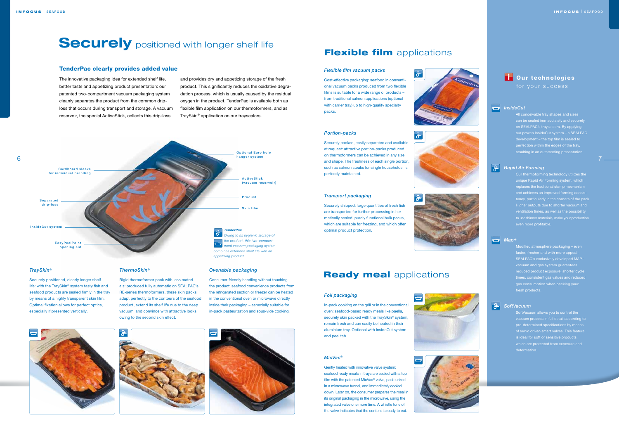The innovative packaging idea for extended shelf life, better taste and appetizing product presentation: our patented two-compartment vacuum packaging system cleanly separates the product from the common driploss that occurs during transport and storage. A vacuum reservoir, the special ActiveStick, collects this drip-loss

and provides dry and appetizing storage of the fresh product. This significantly reduces the oxidative degradation process, which is usually caused by the residual oxygen in the product. TenderPac is available both as flexible film application on our thermoformers, and as TraySkin® application on our traysealers.

### TenderPac clearly provides added value

### *Ovenable packaging*

Consumer-friendly handling without touching the product: seafood convenience products from the refrigerated section or freezer can be heated in the conventional oven or microwave directly inside their packaging – especially suitable for in-pack pasteurization and sous-vide cooking.







 $\frac{1}{\sigma}$ 

|မို

### *ThermoSkin®*

Rigid thermoformer pack with less materials: produced fully automatic on SEALPAC's RE-series thermoformers, these skin packs adapt perfectly to the contours of the seafood product, extend its shelf life due to the deep vacuum, and convince with attractive looks owing to the second skin effect.

### *TraySkin®*

Securely positioned, clearly longer shelf life: with the TraySkin® system tasty fish and seafood products are sealed firmly in the tray by means of a highly transparent skin film. Optimal fixation allows for perfect optics, especially if presented vertically.

# **Securely** positioned with longer shelf life **Flexible film** applications







on SEALPAC's traysealers. By applying our proven InsideCut system – a SEALPAC development – the top film is sealed to fection within the edges of the tray resulting in an outstanding presentation.



### **Rapid Air Forming**

Our thermoforming technology utilizes the unique Rapid Air Forming system, which Higher outputs due to shorter vacuum and to use thinner materials, make your production even more profitable.

In-pack cooking on the grill or in the conventional oven: seafood-based ready meals like paella, securely skin packed with the TraySkin® system, remain fresh and can easily be heated in their aluminium tray. Optional with InsideCut system and peel tab.



Modified atmosphere packaging – even faster, fresher and with more appeal. SEALPAC's exclusively developed MAP+ vacuum and gas system g gas consumption when packing your fresh products.



### *SoftVacuum*

SoftVacuum allows you to control the is ideal for soft or sensitive products, which are protected from exposure and deformation.





Securely packed, easily separated and available at request: attractive portion-packs produced on thermoformers can be achieved in any size and shape. The freshness of each single portion, such as salmon steaks for single households, is perfectly maintained.

### *Flexible film vacuum packs*

Cost-effective packaging: seafood in conventional vacuum packs produced from two flexible films is suitable for a wide range of products – from traditional salmon applications (optional with carrier tray) up to high-quality specialty packs.

### *Transport packaging*

Securely shipped: large quantities of fresh fish are transported for further processing in hermetically sealed, purely functional bulk packs, which are suitable for freezing, and which offer optimal product protection.



### **Ready meal applications**

### *Foil packaging*



Gently heated with innovative valve system: seafood ready meals in trays are sealed with a top film with the patented MicVac® valve, pasteurized in a microwave tunnel, and immediately cooled down. Later on, the consumer prepares the meal in its original packaging in the microwave, using the integrated valve one more time. A whistle tone of the valve indicates that the content is ready to eat.